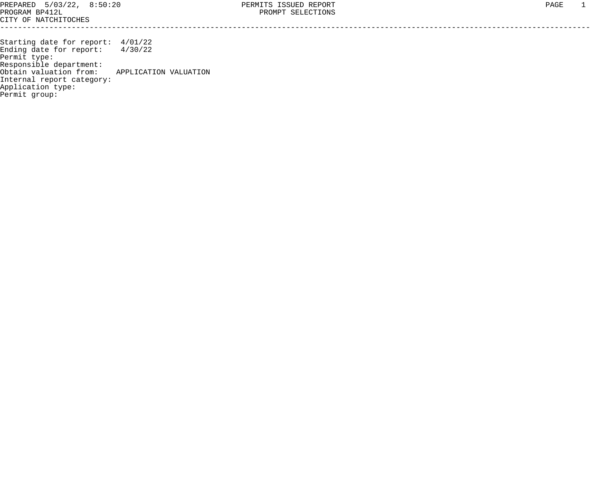Starting date for report: 4/01/22 Ending date for report: 4/30/22 Permit type: Responsible department: Obtain valuation from: APPLICATION VALUATION Internal report category: Application type: Permit group: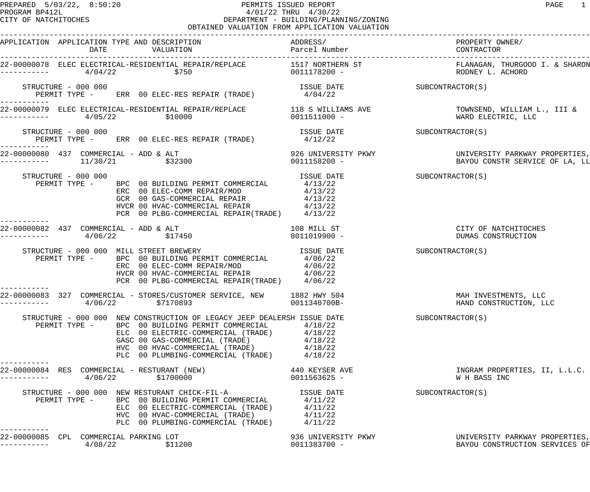## PREPARED 5/03/22, 8:50:20 PERMITS ISSUED REPORT PAGE 1 PROGRAM BP412L 4/01/22 THRU 4/30/22 DEPARTMENT - BUILDING/PLANNING/ZONING OBTAINED VALUATION FROM APPLICATION VALUATION

| APPLICATION APPLICATION TYPE AND DESCRIPTION<br>DATE                                                                                                                                                                                                                                                               | ADDRESS/                               | PROPERTY OWNER/                                                  |
|--------------------------------------------------------------------------------------------------------------------------------------------------------------------------------------------------------------------------------------------------------------------------------------------------------------------|----------------------------------------|------------------------------------------------------------------|
|                                                                                                                                                                                                                                                                                                                    |                                        | FLANAGAN, THURGOOD I. & SHARON<br>RODNEY L. ACHORD               |
| STRUCTURE - 000 000<br>PERMIT TYPE - ERR 00 ELEC-RES REPAIR (TRADE)                                                                                                                                                                                                                                                | ISSUE DATE SUBCONTRACTOR(S)<br>4/04/22 |                                                                  |
| 22-00000079 ELEC ELECTRICAL-RESIDENTIAL REPAIR/REPLACE 118 S WILLIAMS AVE TOWNSEND, WILLIAM L., III &<br>\$10000<br>4/05/22                                                                                                                                                                                        | 0011511000 -                           | WARD ELECTRIC, LLC                                               |
| STRUCTURE - 000 000<br>PERMIT TYPE - ERR 00 ELEC-RES REPAIR (TRADE)                                                                                                                                                                                                                                                | ISSUE DATE SUBCONTRACTOR(S)<br>4/12/22 |                                                                  |
| 22-00000080 437 COMMERCIAL - ADD & ALT<br>11/30/21 \$32300                                                                                                                                                                                                                                                         |                                        |                                                                  |
| STRUCTURE - 000 000<br>PERMIT TYPE - BPC 00 BUILDING PERMIT COMMERCIAL 4/13/22<br>ERC 00 ELEC-COMM REPAIR/MOD 4/13/22<br>GCR 00 GAS-COMMERCIAL REPAIR 4/13/22<br>HVCR 00 HVAC-COMMERCIAL REPAIR 4/13/22<br>PCR 00 PLBG-COMMERCIAL REPAIR 4/13/22                                                                   | ISSUE DATE SUBCONTRACTOR(S)            |                                                                  |
| 22-00000082 437 COMMERCIAL - ADD & ALT<br>4/06/22<br>\$17450                                                                                                                                                                                                                                                       | 108 MILL ST<br>8011019900 -            | CITY OF NATCHITOCHES<br>DUMAS CONSTRUCTION                       |
| STRUCTURE - 000 000 MILL STREET BREWERY TSSUE DATE<br>PERMIT TYPE - BPC 00 BUILDING PERMIT COMMERCIAL 4/06/22<br>ERC 00 ELEC-COMM REPAIR/MOD $4/06/22$<br>HVCR 00 HVAC-COMMERCIAL REPAIR $4/06/22$<br>PCR 00 PLBG-COMMERCIAL REPAIR(TRADE) $4/06/22$                                                               |                                        | SUBCONTRACTOR(S)                                                 |
| 22-00000083 327 COMMERCIAL - STORES/CUSTOMER SERVICE, NEW 1882 HWY 504<br>\$7170893<br>4/06/22                                                                                                                                                                                                                     | 0011340700B-                           | MAH INVESTMENTS, LLC<br>HAND CONSTRUCTION, LLC                   |
| STRUCTURE - 000 000 NEW CONSTRUCTION OF LEGACY JEEP DEALERSH ISSUE DATE<br>PERMIT TYPE - BPC 00 BUILDING PERMIT COMMERCIAL 4/18/22<br>ELC 00 ELECTRIC-COMMERCIAL (TRADE) 4/18/22<br>GASC 00 GAS-COMMERCIAL (TRADE) 4/18/22<br>HVC 00 HVAC-COMMERCIAL (TRADE) 4/18/22<br>PLC 00 PLUMBING-COMMERCIAL (TRADE) 4/18/22 |                                        | SUBCONTRACTOR(S)                                                 |
| 22-00000084 RES COMMERCIAL - RESTURANT (NEW)<br>4/06/22<br>\$1700000                                                                                                                                                                                                                                               | 440 KEYSER AVE<br>0011563625 -         | INGRAM PROPERTIES, II, L.L.C.<br>W H BASS INC                    |
| STRUCTURE - 000 000 NEW RESTURANT CHICK-FIL-A FINE ISSUE DATE<br>PERMIT TYPE - BPC 00 BUILDING PERMIT COMMERCIAL (TRADE) 4/11/22<br>ELC 00 ELECTRIC-COMMERCIAL (TRADE) 4/11/22<br>HVC 00 HVAC-COMMERCIAL (TRADE) 4/11/22<br>PLC 00 PLU                                                                             |                                        | SUBCONTRACTOR(S)                                                 |
| 22-00000085 CPL COMMERCIAL PARKING LOT<br>\$11200<br>4/08/22                                                                                                                                                                                                                                                       | 936 UNIVERSITY PKWY<br>0011383700 -    | UNIVERSITY PARKWAY PROPERTIES,<br>BAYOU CONSTRUCTION SERVICES OF |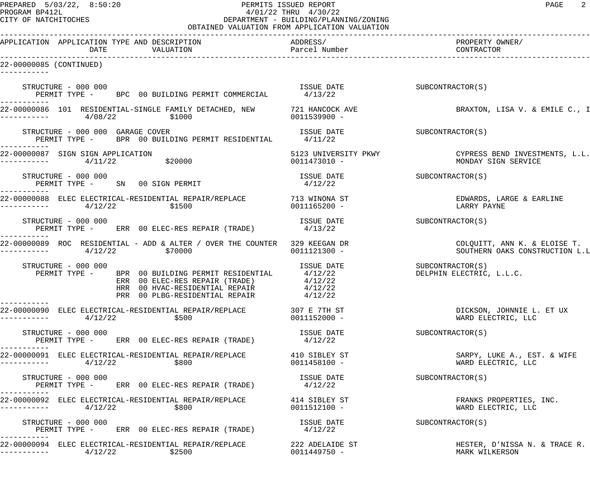## PREPARED 5/03/22, 8:50:20 PERMITS ISSUED REPORT PAGE 2 PROGRAM BP412L 4/01/22 THRU 4/30/22<br>CITY OF NATCHITOCHES CITY DEPARTMENT - BUILDING/PLANN DEPARTMENT - BUILDING/PLANNING/ZONING OBTAINED VALUATION FROM APPLICATION VALUATION

| APPLICATION APPLICATION TYPE AND DESCRIPTION<br>DATE<br>VALUATION                                                                                                                                     | ADDRESS/<br>Parcel Number       | PROPERTY OWNER/<br>CONTRACTOR                                              |
|-------------------------------------------------------------------------------------------------------------------------------------------------------------------------------------------------------|---------------------------------|----------------------------------------------------------------------------|
| 22-00000085 (CONTINUED)                                                                                                                                                                               |                                 |                                                                            |
| STRUCTURE - 000 000<br>PERMIT TYPE - BPC 00 BUILDING PERMIT COMMERCIAL                                                                                                                                | ISSUE DATE<br>4/13/22           | SUBCONTRACTOR(S)                                                           |
| 22-00000086 101 RESIDENTIAL-SINGLE FAMILY DETACHED, NEW 521 HANCOCK AVE<br>4/08/22<br>\$1000                                                                                                          | 0011539900 -                    | BRAXTON, LISA V. & EMILE C., I                                             |
| STRUCTURE - 000 000 GARAGE COVER<br>PERMIT TYPE - BPR 00 BUILDING PERMIT RESIDENTIAL                                                                                                                  | ISSUE DATE<br>4/11/22           | SUBCONTRACTOR(S)                                                           |
| 22-00000087 SIGN SIGN APPLICATION<br>\$20000<br>4/11/22                                                                                                                                               | 0011473010 -                    | 5123 UNIVERSITY PKWY CYPRESS BEND INVESTMENTS, L.L.<br>MONDAY SIGN SERVICE |
| STRUCTURE - 000 000<br>PERMIT TYPE - SN 00 SIGN PERMIT                                                                                                                                                | ISSUE DATE<br>4/12/22           | SUBCONTRACTOR(S)                                                           |
| 22-00000088 ELEC ELECTRICAL-RESIDENTIAL REPAIR/REPLACE 713 WINONA ST<br>4/12/22<br>\$1500                                                                                                             | 0011165200 -                    | EDWARDS, LARGE & EARLINE<br>LARRY PAYNE                                    |
| STRUCTURE - 000 000<br>PERMIT TYPE - ERR 00 ELEC-RES REPAIR (TRADE)                                                                                                                                   | ISSUE DATE<br>4/13/22           | SUBCONTRACTOR(S)                                                           |
| 22-00000089 ROC RESIDENTIAL - ADD & ALTER / OVER THE COUNTER 329 KEEGAN DR<br>4/12/22<br>\$70000                                                                                                      | 0011121300 -                    | COLQUITT, ANN K. & ELOISE T.<br>SOUTHERN OAKS CONSTRUCTION L.L             |
| STRUCTURE - 000 000<br>PERMIT TYPE - BPR 00 BUILDING PERMIT RESIDENTIAL 4/12/22<br>ERR 00 ELEC-RES REPAIR (TRADE) 4/12/22<br>HRR 00 HVAC-RESIDENTIAL REPAIR 4/12/22<br>PRR 00 PLBG-RESIDENTIAL REPAIR | ISSUE DATE<br>4/12/22           | SUBCONTRACTOR(S)<br>DELPHIN ELECTRIC, L.L.C.                               |
| 22-00000090 ELEC ELECTRICAL-RESIDENTIAL REPAIR/REPLACE 307 E 7TH ST<br>4/12/22<br>\$500                                                                                                               | 0011152000 -                    | DICKSON, JOHNNIE L. ET UX<br>WARD ELECTRIC, LLC                            |
| STRUCTURE - 000 000<br>PERMIT TYPE - ERR 00 ELEC-RES REPAIR (TRADE)                                                                                                                                   | ISSUE DATE<br>4/12/22           | SUBCONTRACTOR(S)                                                           |
| -----------<br>22-00000091 ELEC ELECTRICAL-RESIDENTIAL REPAIR/REPLACE 410 SIBLEY ST<br>4/12/22<br>\$800<br>------------                                                                               | 0011458100 -                    | SARPY, LUKE A., EST. & WIFE<br>WARD ELECTRIC, LLC                          |
| STRUCTURE - 000 000<br>PERMIT TYPE - ERR 00 ELEC-RES REPAIR (TRADE)                                                                                                                                   | ISSUE DATE<br>4/12/22           | SUBCONTRACTOR(S)                                                           |
| -----------<br>22-00000092 ELEC ELECTRICAL-RESIDENTIAL REPAIR/REPLACE<br>4/12/22<br>\$800<br>-----------                                                                                              | 414 SIBLEY ST<br>0011512100 -   | FRANKS PROPERTIES, INC.<br>WARD ELECTRIC, LLC                              |
| STRUCTURE - 000 000<br>PERMIT TYPE - ERR 00 ELEC-RES REPAIR (TRADE)                                                                                                                                   | ISSUE DATE<br>4/12/22           | SUBCONTRACTOR(S)                                                           |
| 22-00000094 ELEC ELECTRICAL-RESIDENTIAL REPAIR/REPLACE<br>\$2500<br>4/12/22                                                                                                                           | 222 ADELAIDE ST<br>0011449750 - | HESTER, D'NISSA N. & TRACE R.<br>MARK WILKERSON                            |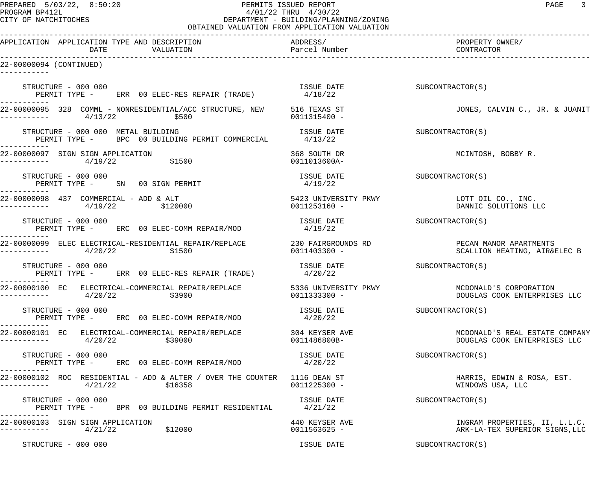## PREPARED 5/03/22, 8:50:20 PERMITS ISSUED REPORT PAGE 3 PROGRAM BP412L 4/01/22 THRU 4/30/22 DEPARTMENT - BUILDING/PLANNING/ZONING OBTAINED VALUATION FROM APPLICATION VALUATION

| APPLICATION APPLICATION TYPE AND DESCRIPTION<br>DATE<br>VALUATION                                                    | ADDRESS/<br>Parcel Number      | PROPERTY OWNER/<br>CONTRACTOR                                       |  |  |
|----------------------------------------------------------------------------------------------------------------------|--------------------------------|---------------------------------------------------------------------|--|--|
| 22-00000094 (CONTINUED)                                                                                              |                                |                                                                     |  |  |
| STRUCTURE - 000 000<br>PERMIT TYPE - ERR 00 ELEC-RES REPAIR (TRADE)                                                  | ISSUE DATE<br>4/18/22          | SUBCONTRACTOR(S)                                                    |  |  |
| 22-00000095 328 COMML - NONRESIDENTIAL/ACC STRUCTURE, NEW 516 TEXAS ST<br>4/13/22<br>\$500<br>---------              | 0011315400 -                   | JONES, CALVIN C., JR. & JUANIT                                      |  |  |
| STRUCTURE - 000 000 METAL BUILDING<br>PERMIT TYPE - BPC 00 BUILDING PERMIT COMMERCIAL 4/13/22                        | ISSUE DATE                     | SUBCONTRACTOR(S)                                                    |  |  |
| 22-00000097 SIGN SIGN APPLICATION<br>\$1500<br>4/19/22<br>---------                                                  | 368 SOUTH DR<br>0011013600A-   | MCINTOSH, BOBBY R.                                                  |  |  |
| STRUCTURE - 000 000<br>PERMIT TYPE - SN 00 SIGN PERMIT                                                               | ISSUE DATE<br>4/19/22          | SUBCONTRACTOR(S)                                                    |  |  |
| 22-00000098 437 COMMERCIAL - ADD & ALT<br>4/19/22<br>\$120000<br>- - - - - - - -                                     | 0011253160 -                   | 5423 UNIVERSITY PKWY THE LOTT OIL CO., INC.<br>DANNIC SOLUTIONS LLC |  |  |
| STRUCTURE - 000 000<br>PERMIT TYPE - ERC 00 ELEC-COMM REPAIR/MOD                                                     | ISSUE DATE<br>4/19/22          | SUBCONTRACTOR(S)                                                    |  |  |
| 22-00000099 ELEC ELECTRICAL-RESIDENTIAL REPAIR/REPLACE 230 FAIRGROUNDS RD<br>4/20/22<br>\$1500<br>. - - - - - - -    | 0011403300 -                   | PECAN MANOR APARTMENTS<br>SCALLION HEATING, AIR&ELEC B              |  |  |
| STRUCTURE - 000 000<br>PERMIT TYPE - ERR 00 ELEC-RES REPAIR (TRADE)                                                  | ISSUE DATE<br>4/20/22          | SUBCONTRACTOR(S)                                                    |  |  |
| 22-00000100 EC ELECTRICAL-COMMERCIAL REPAIR/REPLACE 5336 UNIVERSITY PKWY MCDONALD'S CORPORATION<br>4/20/22<br>\$3900 | 0011333300 -                   | DOUGLAS COOK ENTERPRISES LLC                                        |  |  |
| STRUCTURE - 000 000<br>PERMIT TYPE - ERC 00 ELEC-COMM REPAIR/MOD                                                     | ISSUE DATE<br>4/20/22          | SUBCONTRACTOR(S)                                                    |  |  |
| 22-00000101 EC ELECTRICAL-COMMERCIAL REPAIR/REPLACE<br>4/20/22<br>\$39000                                            | 304 KEYSER AVE<br>0011486800B- | MCDONALD'S REAL ESTATE COMPANY<br>DOUGLAS COOK ENTERPRISES LLC      |  |  |
| STRUCTURE - 000 000<br>PERMIT TYPE - ERC 00 ELEC-COMM REPAIR/MOD                                                     | ISSUE DATE<br>4/20/22          | SUBCONTRACTOR(S)                                                    |  |  |
| 22-00000102 ROC RESIDENTIAL - ADD & ALTER / OVER THE COUNTER 1116 DEAN ST<br>4/21/22<br>\$16358                      | 0011225300 -                   | HARRIS, EDWIN & ROSA, EST.<br>WINDOWS USA, LLC                      |  |  |
| STRUCTURE - 000 000<br>PERMIT TYPE - BPR 00 BUILDING PERMIT RESIDENTIAL                                              | ISSUE DATE<br>4/21/22          | SUBCONTRACTOR(S)                                                    |  |  |
| 22-00000103 SIGN SIGN APPLICATION<br>\$12000<br>4/21/22                                                              | 440 KEYSER AVE<br>0011563625 - | INGRAM PROPERTIES, II, L.L.C.<br>ARK-LA-TEX SUPERIOR SIGNS, LLC     |  |  |
| STRUCTURE - 000 000                                                                                                  | ISSUE DATE                     | SUBCONTRACTOR(S)                                                    |  |  |